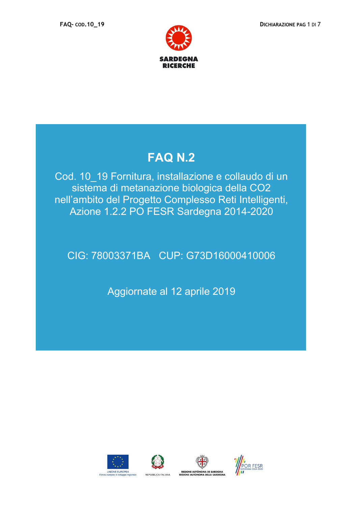



## **FAQ N.2**

Cod. 10\_19 Fornitura, installazione e collaudo di un sistema di metanazione biologica della CO2 nell'ambito del Progetto Complesso Reti Intelligenti, Azione 1.2.2 PO FESR Sardegna 2014-2020

## CIG: 78003371BA CUP: G73D16000410006

Aggiornate al 12 aprile 2019







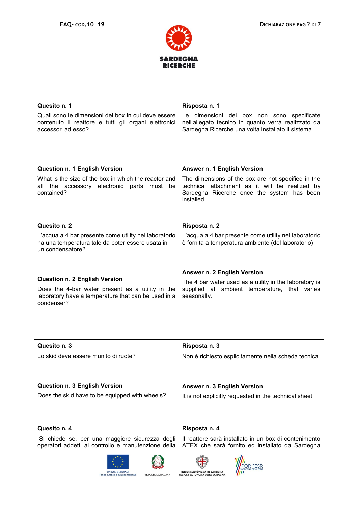



| Quesito n. 1                                                                                                                                                  | Risposta n. 1                                                                                                                                                    |
|---------------------------------------------------------------------------------------------------------------------------------------------------------------|------------------------------------------------------------------------------------------------------------------------------------------------------------------|
| Quali sono le dimensioni del box in cui deve essere<br>contenuto il reattore e tutti gli organi elettronici<br>accessori ad esso?                             | Le dimensioni del box non sono specificate<br>nell'allegato tecnico in quanto verrà realizzato da<br>Sardegna Ricerche una volta installato il sistema.          |
| <b>Question n. 1 English Version</b>                                                                                                                          | Answer n. 1 English Version                                                                                                                                      |
| What is the size of the box in which the reactor and<br>all the accessory electronic parts must be<br>contained?                                              | The dimensions of the box are not specified in the<br>technical attachment as it will be realized by<br>Sardegna Ricerche once the system has been<br>installed. |
| Quesito n. 2                                                                                                                                                  | Risposta n. 2                                                                                                                                                    |
| L'acqua a 4 bar presente come utility nel laboratorio<br>ha una temperatura tale da poter essere usata in<br>un condensatore?                                 | L'acqua a 4 bar presente come utility nel laboratorio<br>è fornita a temperatura ambiente (del laboratorio)                                                      |
| <b>Question n. 2 English Version</b><br>Does the 4-bar water present as a utility in the<br>laboratory have a temperature that can be used in a<br>condenser? | Answer n. 2 English Version<br>The 4 bar water used as a utility in the laboratory is<br>supplied at ambient temperature, that varies<br>seasonally.             |
| Quesito n. 3                                                                                                                                                  | Risposta n. 3                                                                                                                                                    |
| Lo skid deve essere munito di ruote?                                                                                                                          | Non è richiesto esplicitamente nella scheda tecnica.                                                                                                             |
| <b>Question n. 3 English Version</b>                                                                                                                          | Answer n. 3 English Version                                                                                                                                      |
| Does the skid have to be equipped with wheels?                                                                                                                | It is not explicitly requested in the technical sheet.                                                                                                           |
| Quesito n. 4                                                                                                                                                  | Risposta n. 4                                                                                                                                                    |
| Si chiede se, per una maggiore sicurezza degli<br>operatori addetti al controllo e manutenzione della                                                         | Il reattore sarà installato in un box di contenimento<br>ATEX che sarà fornito ed installato da Sardegna                                                         |





 $\mathbb{G}$ REGIONE AUTÒNOMA DE SARDIGNA<br>REGIONE AUTÒNOMA DELLA SARDEGNA

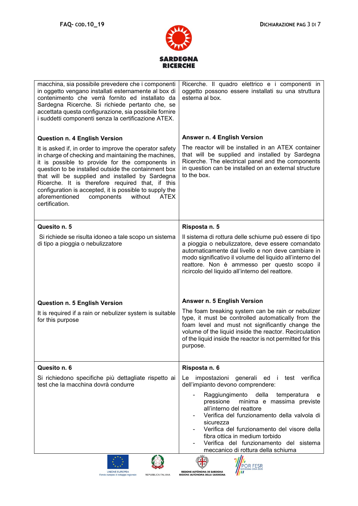



| macchina, sia possibile prevedere che i componenti<br>in oggetto vengano installati esternamente al box di<br>contenimento che verrà fornito ed installato da<br>Sardegna Ricerche. Si richiede pertanto che, se<br>accettata questa configurazione, sia possibile fornire<br>i suddetti componenti senza la certificazione ATEX.                                                                                                                                                                               | Ricerche. Il quadro elettrico e i componenti in<br>oggetto possono essere installati su una struttura<br>esterna al box.                                                                                                                                                                                                                                                                                                                            |
|-----------------------------------------------------------------------------------------------------------------------------------------------------------------------------------------------------------------------------------------------------------------------------------------------------------------------------------------------------------------------------------------------------------------------------------------------------------------------------------------------------------------|-----------------------------------------------------------------------------------------------------------------------------------------------------------------------------------------------------------------------------------------------------------------------------------------------------------------------------------------------------------------------------------------------------------------------------------------------------|
| <b>Question n. 4 English Version</b><br>It is asked if, in order to improve the operator safety<br>in charge of checking and maintaining the machines,<br>it is possible to provide for the components in<br>question to be installed outside the containment box<br>that will be supplied and installed by Sardegna<br>Ricerche. It is therefore required that, if this<br>configuration is accepted, it is possible to supply the<br>aforementioned<br>without<br>components<br><b>ATEX</b><br>certification. | Answer n. 4 English Version<br>The reactor will be installed in an ATEX container<br>that will be supplied and installed by Sardegna<br>Ricerche. The electrical panel and the components<br>in question can be installed on an external structure<br>to the box.                                                                                                                                                                                   |
| Quesito n. 5<br>Si richiede se risulta idoneo a tale scopo un sistema<br>di tipo a pioggia o nebulizzatore                                                                                                                                                                                                                                                                                                                                                                                                      | Risposta n. 5<br>Il sistema di rottura delle schiume può essere di tipo<br>a pioggia o nebulizzatore, deve essere comandato<br>automaticamente dal livello e non deve cambiare in<br>modo significativo il volume del liquido all'interno del<br>reattore. Non è ammesso per questo scopo il<br>ricircolo del liquido all'interno del reattore.                                                                                                     |
| <b>Question n. 5 English Version</b><br>It is required if a rain or nebulizer system is suitable<br>for this purpose                                                                                                                                                                                                                                                                                                                                                                                            | Answer n. 5 English Version<br>The foam breaking system can be rain or nebulizer<br>type, it must be controlled automatically from the<br>foam level and must not significantly change the<br>volume of the liquid inside the reactor. Recirculation<br>of the liquid inside the reactor is not permitted for this<br>purpose.                                                                                                                      |
| Quesito n. 6<br>Si richiedono specifiche più dettagliate rispetto ai<br>test che la macchina dovrà condurre                                                                                                                                                                                                                                                                                                                                                                                                     | Risposta n. 6<br>impostazioni generali ed i test verifica<br>Le<br>dell'impianto devono comprendere:<br>Raggiungimento della<br>temperatura<br>e<br>minima e massima previste<br>pressione<br>all'interno del reattore<br>Verifica del funzionamento della valvola di<br>sicurezza<br>Verifica del funzionamento del visore della<br>fibra ottica in medium torbido<br>Verifica del funzionamento del sistema<br>meccanico di rottura della schiuma |
|                                                                                                                                                                                                                                                                                                                                                                                                                                                                                                                 | $\mathbb{C}$ in<br>'Illh                                                                                                                                                                                                                                                                                                                                                                                                                            |





**EXECUTIVE SPACE SECTION**<br>REGIONE AUTÒNOMA DE SARDIGNA<br>REGIONE AUTONOMA DELLA SARDEGNA POR FESR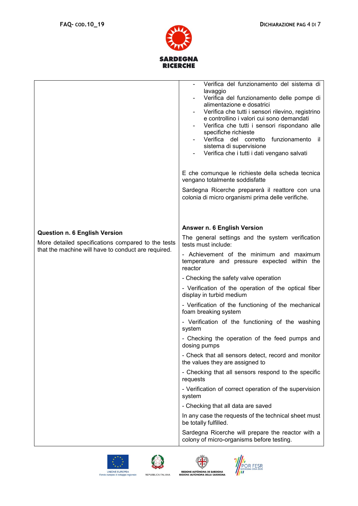



|                                                     | Verifica del funzionamento del sistema di<br>lavaggio<br>Verifica del funzionamento delle pompe di<br>alimentazione e dosatrici<br>Verifica che tutti i sensori rilevino, registrino<br>e controllino i valori cui sono demandati<br>Verifica che tutti i sensori rispondano alle<br>specifiche richieste<br>Verifica del corretto funzionamento il<br>sistema di supervisione<br>Verifica che i tutti i dati vengano salvati |
|-----------------------------------------------------|-------------------------------------------------------------------------------------------------------------------------------------------------------------------------------------------------------------------------------------------------------------------------------------------------------------------------------------------------------------------------------------------------------------------------------|
|                                                     | E che comunque le richieste della scheda tecnica                                                                                                                                                                                                                                                                                                                                                                              |
|                                                     | vengano totalmente soddisfatte                                                                                                                                                                                                                                                                                                                                                                                                |
|                                                     | Sardegna Ricerche preparerà il reattore con una<br>colonia di micro organismi prima delle verifiche.                                                                                                                                                                                                                                                                                                                          |
|                                                     | Answer n. 6 English Version                                                                                                                                                                                                                                                                                                                                                                                                   |
| <b>Question n. 6 English Version</b>                | The general settings and the system verification                                                                                                                                                                                                                                                                                                                                                                              |
| More detailed specifications compared to the tests  | tests must include:                                                                                                                                                                                                                                                                                                                                                                                                           |
| that the machine will have to conduct are required. | - Achievement of the minimum and maximum<br>temperature and pressure expected within the<br>reactor                                                                                                                                                                                                                                                                                                                           |
|                                                     | - Checking the safety valve operation                                                                                                                                                                                                                                                                                                                                                                                         |
|                                                     | - Verification of the operation of the optical fiber<br>display in turbid medium                                                                                                                                                                                                                                                                                                                                              |
|                                                     | - Verification of the functioning of the mechanical<br>foam breaking system                                                                                                                                                                                                                                                                                                                                                   |
|                                                     | - Verification of the functioning of the washing<br>system                                                                                                                                                                                                                                                                                                                                                                    |
|                                                     | - Checking the operation of the feed pumps and<br>dosing pumps                                                                                                                                                                                                                                                                                                                                                                |
|                                                     | - Check that all sensors detect, record and monitor<br>the values they are assigned to                                                                                                                                                                                                                                                                                                                                        |
|                                                     | - Checking that all sensors respond to the specific<br>requests                                                                                                                                                                                                                                                                                                                                                               |
|                                                     | - Verification of correct operation of the supervision<br>system                                                                                                                                                                                                                                                                                                                                                              |
|                                                     | - Checking that all data are saved                                                                                                                                                                                                                                                                                                                                                                                            |
|                                                     | In any case the requests of the technical sheet must<br>be totally fulfilled.                                                                                                                                                                                                                                                                                                                                                 |
|                                                     | Sardegna Ricerche will prepare the reactor with a<br>colony of micro-organisms before testing.                                                                                                                                                                                                                                                                                                                                |







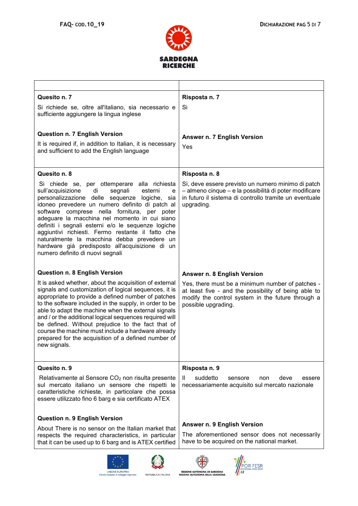



| Quesito n. 7<br>Si richiede se, oltre all'italiano, sia necessario e                                                                                                                                                                                                                                                                                                                                                                                                                                                                                           | Risposta n. 7<br>Si                                                                                                                                                                  |
|----------------------------------------------------------------------------------------------------------------------------------------------------------------------------------------------------------------------------------------------------------------------------------------------------------------------------------------------------------------------------------------------------------------------------------------------------------------------------------------------------------------------------------------------------------------|--------------------------------------------------------------------------------------------------------------------------------------------------------------------------------------|
| sufficiente aggiungere la lingua inglese                                                                                                                                                                                                                                                                                                                                                                                                                                                                                                                       |                                                                                                                                                                                      |
| <b>Question n. 7 English Version</b>                                                                                                                                                                                                                                                                                                                                                                                                                                                                                                                           | Answer n. 7 English Version                                                                                                                                                          |
| It is required if, in addition to Italian, it is necessary<br>and sufficient to add the English language                                                                                                                                                                                                                                                                                                                                                                                                                                                       | Yes                                                                                                                                                                                  |
| Quesito n. 8                                                                                                                                                                                                                                                                                                                                                                                                                                                                                                                                                   | Risposta n. 8                                                                                                                                                                        |
| Si chiede se, per ottemperare alla richiesta<br>di<br>segnali<br>esterni<br>sull'acquisizione<br>e<br>personalizzazione delle sequenze<br>logiche,<br>sia<br>idoneo prevedere un numero definito di patch al<br>software comprese nella fornitura, per poter<br>adeguare la macchina nel momento in cui siano<br>definiti i segnali esterni e/o le sequenze logiche<br>aggiuntivi richiesti. Fermo restante il fatto che<br>naturalmente la macchina debba prevedere un<br>hardware già predisposto all'acquisizione di un<br>numero definito di nuovi segnali | Sì, deve essere previsto un numero minimo di patch<br>- almeno cinque - e la possibilità di poter modificare<br>in futuro il sistema di controllo tramite un eventuale<br>upgrading. |
| <b>Question n. 8 English Version</b>                                                                                                                                                                                                                                                                                                                                                                                                                                                                                                                           | Answer n. 8 English Version                                                                                                                                                          |
| It is asked whether, about the acquisition of external<br>signals and customization of logical sequences, it is<br>appropriate to provide a defined number of patches<br>to the software included in the supply, in order to be<br>able to adapt the machine when the external signals<br>and / or the additional logical sequences required will<br>be defined. Without prejudice to the fact that of<br>course the machine must include a hardware already<br>prepared for the acquisition of a defined number of<br>new signals.                            | Yes, there must be a minimum number of patches -<br>at least five - and the possibility of being able to<br>modify the control system in the future through a<br>possible upgrading. |
| Quesito n. 9                                                                                                                                                                                                                                                                                                                                                                                                                                                                                                                                                   | Risposta n. 9                                                                                                                                                                        |
| Relativamente al Sensore CO <sub>2</sub> non risulta presente<br>sul mercato italiano un sensore che rispetti le<br>caratteristiche richieste, in particolare che possa<br>essere utilizzato fino 6 barg e sia certificato ATEX                                                                                                                                                                                                                                                                                                                                | suddetto<br>deve<br>H.<br>sensore<br>non.<br>essere<br>necessariamente acquisito sul mercato nazionale                                                                               |
| <b>Question n. 9 English Version</b>                                                                                                                                                                                                                                                                                                                                                                                                                                                                                                                           |                                                                                                                                                                                      |
| About There is no sensor on the Italian market that<br>respects the required characteristics, in particular<br>that it can be used up to 6 barg and is ATEX certified                                                                                                                                                                                                                                                                                                                                                                                          | Answer n. 9 English Version<br>The aforementioned sensor does not necessarily<br>have to be acquired on the national market.                                                         |
| <b>UNIONE EUROPEA</b><br>Fondo europeo di sviluppo regionale<br>REPUBBLICA ITALIANA                                                                                                                                                                                                                                                                                                                                                                                                                                                                            | <b>REGIONE AUTONOMA DE SARDIGNA</b><br>REGIONE AUTONOMA DELLA SARDEGNA                                                                                                               |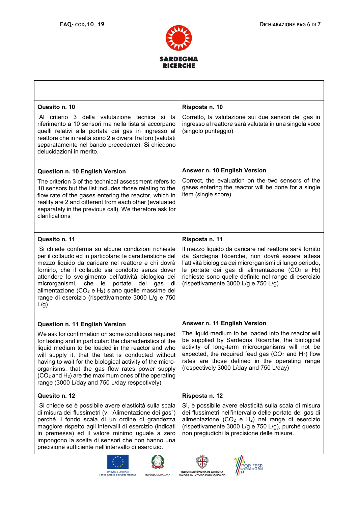



| Quesito n. 10                                                                                                                                                                                                                                                                                                                                                                                                                                                              | Risposta n. 10                                                                                                                                                                                                                                                                                                                          |
|----------------------------------------------------------------------------------------------------------------------------------------------------------------------------------------------------------------------------------------------------------------------------------------------------------------------------------------------------------------------------------------------------------------------------------------------------------------------------|-----------------------------------------------------------------------------------------------------------------------------------------------------------------------------------------------------------------------------------------------------------------------------------------------------------------------------------------|
| Al criterio 3 della valutazione tecnica si fa<br>riferimento a 10 sensori ma nella lista si accorpano<br>quelli relativi alla portata dei gas in ingresso al<br>reattore che in realtà sono 2 e diversi fra loro (valutati<br>separatamente nel bando precedente). Si chiedono<br>delucidazioni in merito.                                                                                                                                                                 | Corretto, la valutazione sui due sensori dei gas in<br>ingresso al reattore sarà valutata in una singola voce<br>(singolo punteggio)                                                                                                                                                                                                    |
| <b>Question n. 10 English Version</b>                                                                                                                                                                                                                                                                                                                                                                                                                                      | Answer n. 10 English Version                                                                                                                                                                                                                                                                                                            |
| The criterion 3 of the technical assessment refers to<br>10 sensors but the list includes those relating to the<br>flow rate of the gases entering the reactor, which in<br>reality are 2 and different from each other (evaluated<br>separately in the previous call). We therefore ask for<br>clarifications                                                                                                                                                             | Correct, the evaluation on the two sensors of the<br>gases entering the reactor will be done for a single<br>item (single score).                                                                                                                                                                                                       |
| Quesito n. 11                                                                                                                                                                                                                                                                                                                                                                                                                                                              | Risposta n. 11                                                                                                                                                                                                                                                                                                                          |
| Si chiede conferma su alcune condizioni richieste<br>per il collaudo ed in particolare: le caratteristiche del<br>mezzo liquido da caricare nel reattore e chi dovrà<br>fornirlo, che il collaudo sia condotto senza dover<br>attendere lo svolgimento dell'attività biologica dei<br>microrganismi, che le portate<br>dei<br>gas<br>di<br>alimentazione ( $CO2$ e H <sub>2</sub> ) siano quelle massime del<br>range di esercizio (rispettivamente 3000 L/g e 750<br>L/g) | Il mezzo liquido da caricare nel reattore sarà fornito<br>da Sardegna Ricerche, non dovrà essere attesa<br>l'attività biologica dei microrganismi di lungo periodo,<br>le portate dei gas di alimentazione $(CO2 e H2)$<br>richieste sono quelle definite nel range di esercizio<br>(rispettivamente 3000 L/g e 750 L/g)                |
| Question n. 11 English Version                                                                                                                                                                                                                                                                                                                                                                                                                                             | Answer n. 11 English Version                                                                                                                                                                                                                                                                                                            |
| We ask for confirmation on some conditions required<br>for testing and in particular: the characteristics of the<br>liquid medium to be loaded in the reactor and who<br>will supply it, that the test is conducted without<br>having to wait for the biological activity of the micro-<br>organisms, that the gas flow rates power supply<br>$(CO2$ and H <sub>2</sub> ) are the maximum ones of the operating<br>range (3000 L/day and 750 L/day respectively)           | The liquid medium to be loaded into the reactor will<br>be supplied by Sardegna Ricerche, the biological<br>activity of long-term microorganisms will not be<br>expected, the required feed gas (CO <sub>2</sub> and H <sub>2</sub> ) flow<br>rates are those defined in the operating range<br>(respectively 3000 L/day and 750 L/day) |
| Quesito n. 12                                                                                                                                                                                                                                                                                                                                                                                                                                                              | Risposta n. 12                                                                                                                                                                                                                                                                                                                          |
| Si chiede se è possibile avere elasticità sulla scala<br>di misura dei flussimetri (v. "Alimentazione dei gas")<br>perché il fondo scala di un ordine di grandezza<br>maggiore rispetto agli intervalli di esercizio (indicati<br>in premessa) ed il valore minimo uguale a zero<br>impongono la scelta di sensori che non hanno una<br>precisione sufficiente nell'intervallo di esercizio.                                                                               | Sì, è possibile avere elasticità sulla scala di misura<br>dei flussimetri nell'intervallo delle portate dei gas di<br>alimentazione (CO <sub>2</sub> e H <sub>2</sub> ) nel range di esercizio<br>(rispettivamente 3000 L/g e 750 L/g), purché questo<br>non pregiudichi la precisione delle misure.                                    |
| <b>UNIONE EUROPEA</b><br>REPUBBLICA ITALIANA<br>Fondo europeo di sviluppo regionale                                                                                                                                                                                                                                                                                                                                                                                        | OR FESR<br>REGIONE AUTÒNOMA DE SARDIGNA<br>REGIONE AUTONOMA DELLA SARDEGNA                                                                                                                                                                                                                                                              |